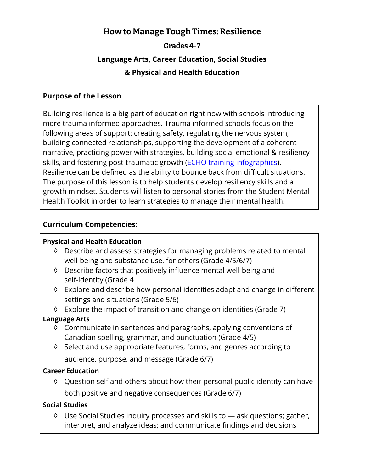## **How to Manage Tough Times: Resilience**

### **Grades 4-7**

# **Language Arts, Career Education, Social Studies & Physical and Health Education**

#### **Purpose of the Lesson**

Building resilience is a big part of education right now with schools introducing more trauma informed approaches. Trauma informed schools focus on the following areas of support: creating safety, regulating the nervous system, building connected relationships, supporting the development of a coherent narrative, practicing power with strategies, building social emotional & resiliency skills, and fostering post-traumatic growth (*ECHO training infographics*). Resilience can be defined as the ability to bounce back from difficult situations. The purpose of this lesson is to help students develop resiliency skills and a growth mindset. Students will listen to personal stories from the Student Mental Health Toolkit in order to learn strategies to manage their mental health.

#### **Curriculum Competencies:**

#### **Physical and Health Education**

- ◊ Describe and assess strategies for managing problems related to mental well-being and substance use, for others (Grade 4/5/6/7)
- ◊ Describe factors that positively influence mental well-being and self-identity (Grade 4
- ◊ Explore and describe how personal identities adapt and change in different settings and situations (Grade 5/6)

◊ Explore the impact of transition and change on identities (Grade 7)

#### **Language Arts**

- ◊ Communicate in sentences and paragraphs, applying conventions of Canadian spelling, grammar, and punctuation (Grade 4/5)
- ◊ Select and use appropriate features, forms, and genres according to audience, purpose, and message (Grade 6/7)

#### **Career Education**

◊ Question self and others about how their personal public identity can have both positive and negative consequences (Grade 6/7)

#### **Social Studies**

◊ Use Social Studies inquiry processes and skills to — ask questions; gather, interpret, and analyze ideas; and communicate findings and decisions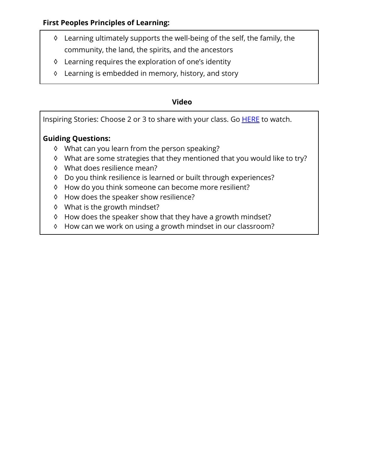#### **First Peoples Principles of Learning:**

- ◊ Learning ultimately supports the well-being of the self, the family, the community, the land, the spirits, and the ancestors
- ◊ Learning requires the exploration of one's identity
- ◊ Learning is embedded in memory, history, and story

#### **Video**

Inspiring Stories: Choose 2 or 3 to share with your class. Go [HERE](https://studentmentalhealthtoolkit.com/youth-corner/stigma-free-stories/)to watch.

## **Guiding Questions:**

- ◊ What can you learn from the person speaking?
- ◊ What are some strategies that they mentioned that you would like to try?
- ◊ What does resilience mean?
- ◊ Do you think resilience is learned or built through experiences?
- ◊ How do you think someone can become more resilient?
- ◊ How does the speaker show resilience?
- ◊ What is the growth mindset?
- ◊ How does the speaker show that they have a growth mindset?
- ◊ How can we work on using a growth mindset in our classroom?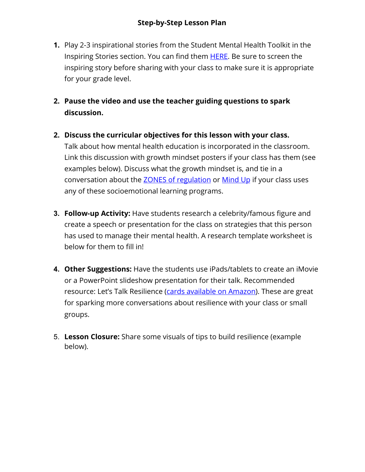- **1.** Play 2-3 inspirational stories from the Student Mental Health Toolkit in the Inspiring Stories section. You can find them [HERE](https://studentmentalhealthtoolkit.com/youth-corner/stigma-free-stories/). Be sure to screen the inspiring story before sharing with your class to make sure it is appropriate for your grade level.
- **2. Pause the video and use the teacher guiding questions to spark discussion.**
- **2. Discuss the curricular objectives for this lesson with your class.**

Talk about how mental health education is incorporated in the classroom. Link this discussion with growth mindset posters if your class has them (see examples below). Discuss what the growth mindset is, and tie in a conversation about the **[ZONES of regulation](https://www.zonesofregulation.com/index.html) or [Mind Up](https://mindup.org/)** if your class uses any of these socioemotional learning programs.

- **3. Follow-up Activity:** Have students research a celebrity/famous figure and create a speech or presentation for the class on strategies that this person has used to manage their mental health. A research template worksheet is below for them to fill in!
- **4. Other Suggestions:** Have the students use iPads/tablets to create an iMovie or a PowerPoint slideshow presentation for their talk. Recommended resource: Let's Talk Resilience ([cards available on Amazon\)](https://www.amazon.ca/Lets-Talk-Resilience-Sue-Nicholls/dp/1909301590). These are great for sparking more conversations about resilience with your class or small groups.
- 5. **Lesson Closure:** Share some visuals of tips to build resilience (example below).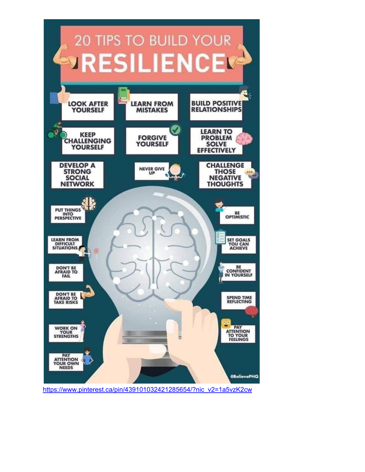

https://www.pinterest.ca/pin/439101032421285654/?nic\_v2=1a5vzK2cw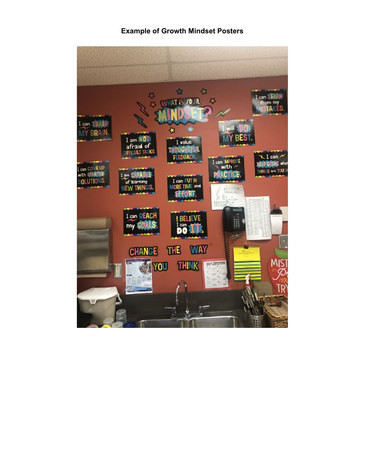#### **Example of Growth Mindset Posters**